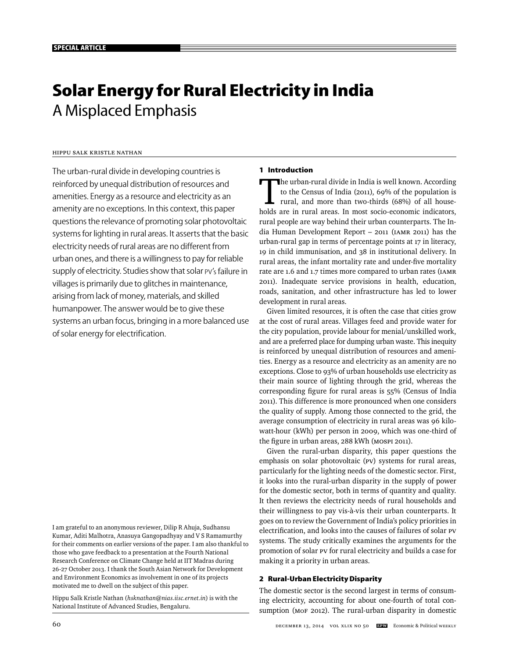# **Solar Energy for Rural Electricity in India**  A Misplaced Emphasis

# Hippu Salk Kristle Nathan

The urban-rural divide in developing countries is reinforced by unequal distribution of resources and amenities. Energy as a resource and electricity as an amenity are no exceptions. In this context, this paper questions the relevance of promoting solar photovoltaic systems for lighting in rural areas. It asserts that the basic electricity needs of rural areas are no different from urban ones, and there is a willingness to pay for reliable supply of electricity. Studies show that solar PV's failure in villages is primarily due to glitches in maintenance, arising from lack of money, materials, and skilled humanpower. The answer would be to give these systems an urban focus, bringing in a more balanced use of solar energy for electrification.

I am grateful to an anonymous reviewer, Dilip R Ahuja, Sudhansu Kumar, Aditi Malhotra, Anasuya Gangopadhyay and V S Ramamurthy for their comments on earlier versions of the paper. I am also thankful to those who gave feedback to a presentation at the Fourth National Research Conference on Climate Change held at IIT Madras during 26-27 October 2013. I thank the South Asian Network for Development and Environment Economics as involvement in one of its projects motivated me to dwell on the subject of this paper.

Hippu Salk Kristle Nathan (*hsknathan@nias.iisc.ernet.in*) is with the National Institute of Advanced Studies, Bengaluru.

# **1 Introduction**

The urban-rural divide in India is well known. According<br>to the Census of India (2011), 69% of the population is<br>rural, and more than two-thirds (68%) of all house-<br>holds are in rural areas. In most socio economic indicato to the Census of India (2011), 69% of the population is rural, and more than two-thirds (68%) of all households are in rural areas. In most socio-economic indicators, rural people are way behind their urban counterparts. The India Human Development Report – 2011 (IAMR 2011) has the urban-rural gap in terms of percentage points at 17 in literacy, 19 in child immunisation, and 38 in institutional delivery. In rural areas, the infant mortality rate and under-five mortality rate are 1.6 and 1.7 times more compared to urban rates (IAMR 2011). Inadequate service provisions in health, education, roads, sanitation, and other infrastructure has led to lower development in rural areas.

Given limited resources, it is often the case that cities grow at the cost of rural areas. Villages feed and provide water for the city population, provide labour for menial/unskilled work, and are a preferred place for dumping urban waste. This inequity is reinforced by unequal distribution of resources and amenities. Energy as a resource and electricity as an amenity are no exceptions. Close to 93% of urban households use electricity as their main source of lighting through the grid, whereas the corresponding figure for rural areas is 55% (Census of India 2011). This difference is more pronounced when one considers the quality of supply. Among those connected to the grid, the average consumption of electricity in rural areas was 96 kilowatt-hour (kWh) per person in 2009, which was one-third of the figure in urban areas, 288 kWh (MOSPI 2011).

Given the rural-urban disparity, this paper questions the emphasis on solar photovoltaic (PV) systems for rural areas, particularly for the lighting needs of the domestic sector. First, it looks into the rural-urban disparity in the supply of power for the domestic sector, both in terms of quantity and quality. It then reviews the electricity needs of rural households and their willingness to pay vis-à-vis their urban counterparts. It goes on to review the Government of India's policy priorities in electrification, and looks into the causes of failures of solar PV systems. The study critically examines the arguments for the promotion of solar PV for rural electricity and builds a case for making it a priority in urban areas.

#### **2 Rural-Urban Electricity Disparity**

The domestic sector is the second largest in terms of consuming electricity, accounting for about one-fourth of total consumption (MoF 2012). The rural-urban disparity in domestic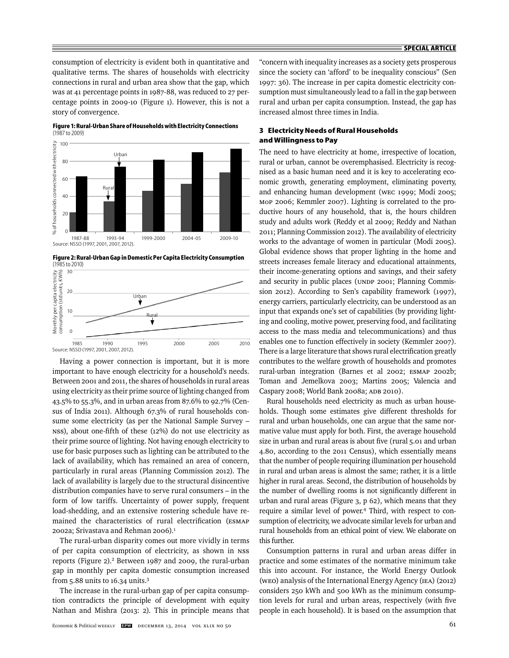consumption of electricity is evident both in quantitative and qualitative terms. The shares of households with electricity connections in rural and urban area show that the gap, which was at 41 percentage points in 1987-88, was reduced to 27 percentage points in 2009-10 (Figure 1). However, this is not a story of convergence.



**Figure 1: Rural-Urban Share of Households with Electricity Connections**  (1987 to 2009)

**Figure 2: Rural-Urban Gap in Domestic Per Capita Electricity Consumption** 



Having a power connection is important, but it is more important to have enough electricity for a household's needs. Between 2001 and 2011, the shares of households in rural areas using electricity as their prime source of lighting changed from 43.5% to 55.3%, and in urban areas from 87.6% to 92.7% (Census of India 2011). Although 67.3% of rural households consume some electricity (as per the National Sample Survey –  $NSS$ ), about one-fifth of these  $(12%)$  do not use electricity as their prime source of lighting. Not having enough electricity to use for basic purposes such as lighting can be attributed to the lack of availability, which has remained an area of concern, particularly in rural areas (Planning Commission 2012). The lack of availability is largely due to the structural disincentive distribution companies have to serve rural consumers – in the form of low tariffs. Uncertainty of power supply, frequent load-shedding, and an extensive rostering schedule have remained the characteristics of rural electrification (ESMAP 2002a; Srivastava and Rehman 2006).<sup>1</sup>

The rural-urban disparity comes out more vividly in terms of per capita consumption of electricity, as shown in NSS reports (Figure 2).<sup>2</sup> Between 1987 and 2009, the rural-urban gap in monthly per capita domestic consumption increased from 5.88 units to 16.34 units.3

The increase in the rural-urban gap of per capita consumption contradicts the principle of development with equity Nathan and Mishra (2013: 2). This in principle means that "concern with inequality increases as a society gets prosperous since the society can 'afford' to be inequality conscious" (Sen 1997: 36). The increase in per capita domestic electricity consumption must simultaneously lead to a fall in the gap between rural and urban per capita consumption. Instead, the gap has increased almost three times in India.

# **3 Electricity Needs of Rural Households and Willingness to Pay**

The need to have electricity at home, irrespective of location, rural or urban, cannot be overemphasised. Electricity is recognised as a basic human need and it is key to accelerating economic growth, generating employment, eliminating poverty, and enhancing human development (WEC 1999; Modi 2005; MoP 2006; Kemmler 2007). Lighting is correlated to the productive hours of any household, that is, the hours children study and adults work (Reddy et al 2009; Reddy and Nathan 2011; Planning Commission 2012). The availability of electricity works to the advantage of women in particular (Modi 2005). Global evidence shows that proper lighting in the home and streets increases female literacy and educational attainments, their income-generating options and savings, and their safety and security in public places (UNDP 2001; Planning Commission 2012). According to Sen's capability framework (1997), energy carriers, particularly electricity, can be understood as an input that expands one's set of capabilities (by providing lighting and cooling, motive power, preserving food, and facilitating access to the mass media and telecommunications) and thus enables one to function effectively in society (Kemmler 2007). There is a large literature that shows rural electrification greatly contributes to the welfare growth of households and promotes rural-urban integration (Barnes et al 2002; ESMAP 2002b; Toman and Jemelkova 2003; Martins 2005; Valencia and Caspary 2008; World Bank 2008a; ADB 2010).

Rural households need electricity as much as urban households. Though some estimates give different thresholds for rural and urban households, one can argue that the same normative value must apply for both. First, the average household size in urban and rural areas is about five (rural 5.01 and urban 4.80, according to the 2011 Census), which essentially means that the number of people requiring illumination per household in rural and urban areas is almost the same; rather, it is a little higher in rural areas. Second, the distribution of households by the number of dwelling rooms is not significantly different in urban and rural areas (Figure 3, p 62), which means that they require a similar level of power.4 Third, with respect to consumption of electricity, we advocate similar levels for urban and rural households from an ethical point of view. We elaborate on this further.

Consumption patterns in rural and urban areas differ in practice and some estimates of the normative minimum take this into account. For instance, the World Energy Outlook (WEO) analysis of the International Energy Agency (IEA) (2012) considers 250 kWh and 500 kWh as the minimum consumption levels for rural and urban areas, respectively (with five people in each household). It is based on the assumption that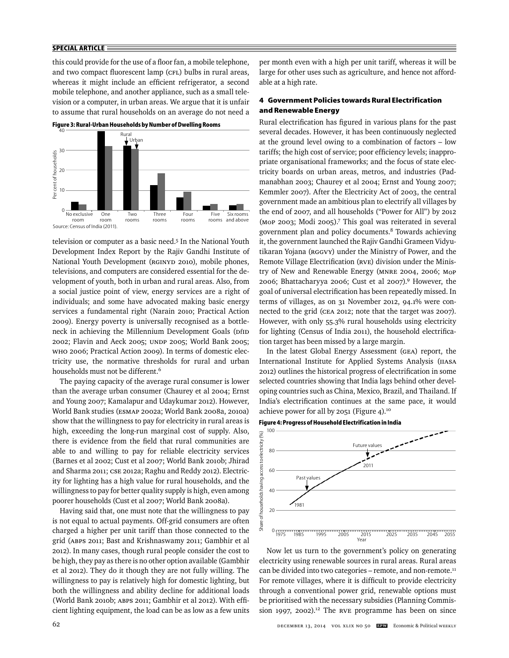## **SPECIAL ARTICLE**

this could provide for the use of a floor fan, a mobile telephone, and two compact fluorescent lamp (CFL) bulbs in rural areas, whereas it might include an efficient refrigerator, a second mobile telephone, and another appliance, such as a small television or a computer, in urban areas. We argue that it is unfair to assume that rural households on an average do not need a





television or computer as a basic need.<sup>5</sup> In the National Youth Development Index Report by the Rajiv Gandhi Institute of National Youth Development (RGINYD 2010), mobile phones, televisions, and computers are considered essential for the development of youth, both in urban and rural areas. Also, from a social justice point of view, energy services are a right of individuals; and some have advocated making basic energy services a fundamental right (Narain 2010; Practical Action 2009). Energy poverty is universally recognised as a bottleneck in achieving the Millennium Development Goals (DfID 2002; Flavin and Aeck 2005; UNDP 2005; World Bank 2005; WHO 2006; Practical Action 2009). In terms of domestic electricity use, the normative thresholds for rural and urban households must not be different.6

The paying capacity of the average rural consumer is lower than the average urban consumer (Chaurey et al 2004; Ernst and Young 2007; Kamalapur and Udaykumar 2012). However, World Bank studies (ESMAP 2002a; World Bank 2008a, 2010a) show that the willingness to pay for electricity in rural areas is high, exceeding the long-run marginal cost of supply. Also, there is evidence from the field that rural communities are able to and willing to pay for reliable electricity services (Barnes et al 2002; Cust et al 2007; World Bank 2010b; Jhirad and Sharma 2011; CSE 2012a; Raghu and Reddy 2012). Electricity for lighting has a high value for rural households, and the willingness to pay for better quality supply is high, even among poorer households (Cust et al 2007; World Bank 2008a).

Having said that, one must note that the willingness to pay is not equal to actual payments. Off-grid consumers are often charged a higher per unit tariff than those connected to the grid (ABPS 2011; Bast and Krishnaswamy 2011; Gambhir et al 2012). In many cases, though rural people consider the cost to be high, they pay as there is no other option available (Gambhir et al 2012). They do it though they are not fully willing. The willingness to pay is relatively high for domestic lighting, but both the willingness and ability decline for additional loads (World Bank 2010b; ABPS 2011; Gambhir et al 2012). With effi cient lighting equipment, the load can be as low as a few units

per month even with a high per unit tariff, whereas it will be large for other uses such as agriculture, and hence not affordable at a high rate.

# **4 Government Policies towards Rural Electrification and Renewable Energy**

Rural electrification has figured in various plans for the past several decades. However, it has been continuously neglected at the ground level owing to a combination of factors – low tariffs; the high cost of service; poor efficiency levels; inappropriate organisational frameworks; and the focus of state electricity boards on urban areas, metros, and industries (Padmanabhan 2003; Chaurey et al 2004; Ernst and Young 2007; Kemmler 2007). After the Electricity Act of 2003, the central government made an ambitious plan to electrify all villages by the end of 2007, and all households ("Power for All") by 2012 (MoP 2003; Modi 2005).7 This goal was reiterated in several government plan and policy documents.8 Towards achieving it, the government launched the Rajiv Gandhi Grameen Vidyutikaran Yojana (RGGVY) under the Ministry of Power, and the Remote Village Electrification (RVE) division under the Ministry of New and Renewable Energy (MNRE 2004, 2006; MoP 2006; Bhattacharyya 2006; Cust et al 2007).9 However, the goal of universal electrification has been repeatedly missed. In terms of villages, as on 31 November 2012, 94.1% were connected to the grid (CEA 2012; note that the target was 2007). However, with only 55.3% rural households using electricity for lighting (Census of India 2011), the household electrification target has been missed by a large margin.

In the latest Global Energy Assessment (GEA) report, the International Institute for Applied Systems Analysis (IIASA 2012) outlines the historical progress of electrification in some selected countries showing that India lags behind other developing countries such as China, Mexico, Brazil, and Thailand. If India's electrification continues at the same pace, it would achieve power for all by 2051 (Figure 4).10





Now let us turn to the government's policy on generating electricity using renewable sources in rural areas. Rural areas can be divided into two categories - remote, and non-remote.<sup>11</sup> For remote villages, where it is difficult to provide electricity through a conventional power grid, renewable options must be prioritised with the necessary subsidies (Planning Commission 1997, 2002).<sup>12</sup> The RVE programme has been on since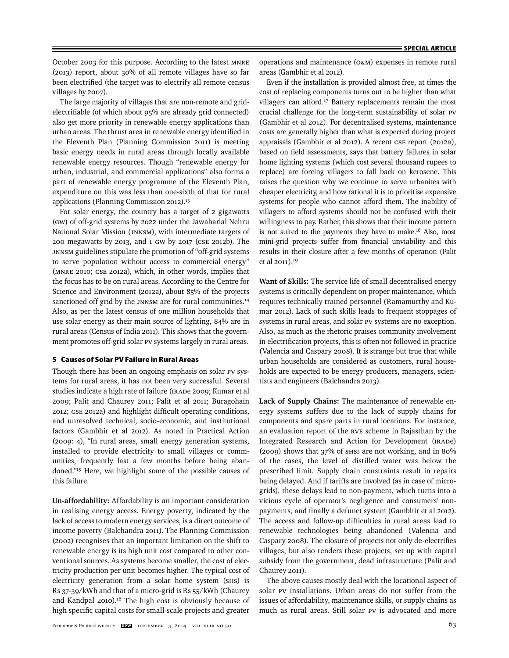October 2003 for this purpose. According to the latest MNRE (2013) report, about 30% of all remote villages have so far been electrified (the target was to electrify all remote census villages by 2007).

The large majority of villages that are non-remote and gridelectrifiable (of which about 95% are already grid connected) also get more priority in renewable energy applications than urban areas. The thrust area in renewable energy identified in the Eleventh Plan (Planning Commission 2011) is meeting basic energy needs in rural areas through locally available renewable energy resources. Though "renewable energy for urban, industrial, and commercial applications" also forms a part of renewable energy programme of the Eleventh Plan, expenditure on this was less than one-sixth of that for rural applications (Planning Commission 2012).<sup>13</sup>

For solar energy, the country has a target of 2 gigawatts (GW) of off-grid systems by 2022 under the Jawaharlal Nehru National Solar Mission (JNNSM), with intermediate targets of 200 megawatts by 2013, and 1 GW by 2017 (CSE 2012b). The JNNSM guidelines stipulate the promotion of "off-grid systems to serve population without access to commercial energy" (MNRE 2010; CSE 2012a), which, in other words, implies that the focus has to be on rural areas. According to the Centre for Science and Environment (2012a), about 85% of the projects sanctioned off grid by the JNNSM are for rural communities.<sup>14</sup> Also, as per the latest census of one million households that use solar energy as their main source of lighting, 84% are in rural areas (Census of India 2011). This shows that the government promotes off-grid solar PV systems largely in rural areas.

#### **5 Causes of Solar PV Failure in Rural Areas**

Though there has been an ongoing emphasis on solar PV systems for rural areas, it has not been very successful. Several studies indicate a high rate of failure (IRADe 2009; Kumar et al 2009; Palit and Chaurey 2011; Palit et al 2011; Buragohain 2012; CSE 2012a) and highlight difficult operating conditions, and unresolved technical, socio-economic, and institutional factors (Gambhir et al 2012). As noted in Practical Action (2009: 4), "In rural areas, small energy generation systems, installed to provide electricity to small villages or communities, frequently last a few months before being abandoned."15 Here, we highlight some of the possible causes of this failure.

**Un-affordability:** Affordability is an important consideration in realising energy access. Energy poverty, indicated by the lack of access to modern energy services, is a direct outcome of income poverty (Balchandra 2011). The Planning Commission (2002) recognises that an important limitation on the shift to renewable energy is its high unit cost compared to other conventional sources. As systems become smaller, the cost of electricity production per unit becomes higher. The typical cost of electricity generation from a solar home system (SHS) is Rs 37-39/kWh and that of a micro-grid is Rs 55/kWh (Chaurey and Kandpal 2010).16 The high cost is obviously because of high specific capital costs for small-scale projects and greater

operations and maintenance (O&M) expenses in remote rural areas (Gambhir et al 2012).

Even if the installation is provided almost free, at times the cost of replacing components turns out to be higher than what villagers can afford.<sup>17</sup> Battery replacements remain the most crucial challenge for the long-term sustainability of solar PV (Gambhir et al 2012). For decentralised systems, maintenance costs are generally higher than what is expected during project appraisals (Gambhir et al 2012). A recent CSE report (2012a), based on field assessments, says that battery failures in solar home lighting systems (which cost several thousand rupees to replace) are forcing villagers to fall back on kerosene. This raises the question why we continue to serve urbanites with cheaper electricity, and how rational it is to prioritise expensive systems for people who cannot afford them. The inability of villagers to afford systems should not be confused with their willingness to pay. Rather, this shows that their income pattern is not suited to the payments they have to make.<sup>18</sup> Also, most mini-grid projects suffer from financial unviability and this results in their closure after a few months of operation (Palit et al 2011).19

**Want of Skills:** The service life of small decentralised energy systems is critically dependent on proper maintenance, which requires technically trained personnel (Ramamurthy and Kumar 2012). Lack of such skills leads to frequent stoppages of systems in rural areas, and solar PV systems are no exception. Also, as much as the rhetoric praises community involvement in electrification projects, this is often not followed in practice (Valencia and Caspary 2008). It is strange but true that while urban households are considered as customers, rural households are expected to be energy producers, managers, scientists and engineers (Balchandra 2013).

**Lack of Supply Chains:** The maintenance of renewable energy systems suffers due to the lack of supply chains for components and spare parts in rural locations. For instance, an evaluation report of the RVE scheme in Rajasthan by the Integrated Research and Action for Development (IRADe) (2009) shows that 37% of SHSs are not working, and in 80% of the cases, the level of distilled water was below the prescribed limit. Supply chain constraints result in repairs being delayed. And if tariffs are involved (as in case of microgrids), these delays lead to non-payment, which turns into a vicious cycle of operator's negligence and consumers' nonpayments, and finally a defunct system (Gambhir et al 2012). The access and follow-up difficulties in rural areas lead to renewable technologies being abandoned (Valencia and Caspary 2008). The closure of projects not only de-electrifies villages, but also renders these projects, set up with capital subsidy from the government, dead infrastructure (Palit and Chaurey 2011).

The above causes mostly deal with the locational aspect of solar PV installations. Urban areas do not suffer from the issues of affordability, maintenance skills, or supply chains as much as rural areas. Still solar PV is advocated and more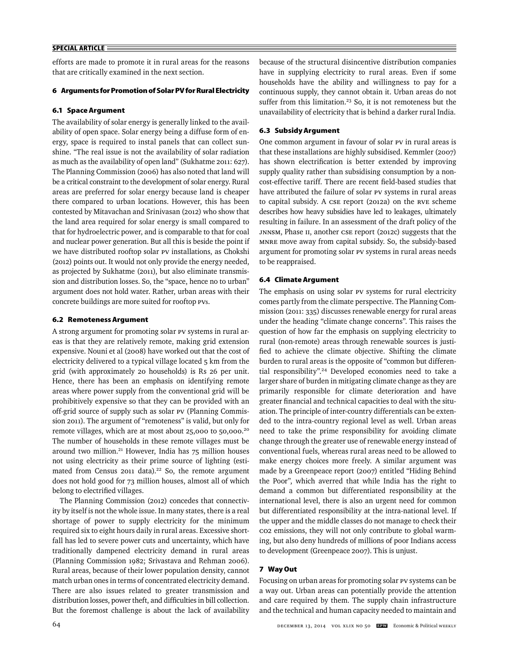## **SPECIAL ARTICLE**

efforts are made to promote it in rural areas for the reasons that are critically examined in the next section.

## **6 Arguments for Promotion of Solar PV for Rural Electricity**

#### **6.1 Space Argument**

The availability of solar energy is generally linked to the availability of open space. Solar energy being a diffuse form of energy, space is required to instal panels that can collect sunshine. "The real issue is not the availability of solar radiation as much as the availability of open land" (Sukhatme 2011: 627). The Planning Commission (2006) has also noted that land will be a critical constraint to the development of solar energy. Rural areas are preferred for solar energy because land is cheaper there compared to urban locations. However, this has been contested by Mitavachan and Srinivasan (2012) who show that the land area required for solar energy is small compared to that for hydroelectric power, and is comparable to that for coal and nuclear power generation. But all this is beside the point if we have distributed rooftop solar PV installations, as Chokshi (2012) points out. It would not only provide the energy needed, as projected by Sukhatme (2011), but also eliminate transmission and distribution losses. So, the "space, hence no to urban" argument does not hold water. Rather, urban areas with their concrete buildings are more suited for rooftop PVs.

#### **6.2 Remoteness Argument**

A strong argument for promoting solar PV systems in rural areas is that they are relatively remote, making grid extension expensive. Nouni et al (2008) have worked out that the cost of electricity delivered to a typical village located 5 km from the grid (with approximately 20 households) is Rs 26 per unit. Hence, there has been an emphasis on identifying remote areas where power supply from the conventional grid will be prohibitively expensive so that they can be provided with an off-grid source of supply such as solar PV (Planning Commission 2011). The argument of "remoteness" is valid, but only for remote villages, which are at most about 25,000 to 50,000.20 The number of households in these remote villages must be around two million.<sup>21</sup> However, India has 75 million houses not using electricity as their prime source of lighting (estimated from Census 2011 data).<sup>22</sup> So, the remote argument does not hold good for 73 million houses, almost all of which belong to electrified villages.

The Planning Commission (2012) concedes that connectivity by itself is not the whole issue. In many states, there is a real shortage of power to supply electricity for the minimum required six to eight hours daily in rural areas. Excessive shortfall has led to severe power cuts and uncertainty, which have traditionally dampened electricity demand in rural areas (Planning Commission 1982; Srivastava and Rehman 2006). Rural areas, because of their lower population density, cannot match urban ones in terms of concentrated electricity demand. There are also issues related to greater transmission and distribution losses, power theft, and difficulties in bill collection. But the foremost challenge is about the lack of availability

because of the structural disincentive distribution companies have in supplying electricity to rural areas. Even if some households have the ability and willingness to pay for a continuous supply, they cannot obtain it. Urban areas do not suffer from this limitation.<sup>23</sup> So, it is not remoteness but the unavailability of electricity that is behind a darker rural India.

### **6.3 Subsidy Argument**

One common argument in favour of solar PV in rural areas is that these installations are highly subsidised. Kemmler (2007) has shown electrification is better extended by improving supply quality rather than subsidising consumption by a noncost-effective tariff. There are recent field-based studies that have attributed the failure of solar PV systems in rural areas to capital subsidy. A CSE report (2012a) on the RVE scheme describes how heavy subsidies have led to leakages, ultimately resulting in failure. In an assessment of the draft policy of the JNNSM, Phase II, another CSE report (2012c) suggests that the MNRE move away from capital subsidy. So, the subsidy-based argument for promoting solar PV systems in rural areas needs to be reappraised.

#### **6.4 Climate Argument**

The emphasis on using solar PV systems for rural electricity comes partly from the climate perspective. The Planning Commission (2011: 335) discusses renewable energy for rural areas under the heading "climate change concerns". This raises the question of how far the emphasis on supplying electricity to rural (non-remote) areas through renewable sources is justified to achieve the climate objective. Shifting the climate burden to rural areas is the opposite of "common but differential responsibility".24 Developed economies need to take a larger share of burden in mitigating climate change as they are primarily responsible for climate deterioration and have greater financial and technical capacities to deal with the situation. The principle of inter-country differentials can be extended to the intra-country regional level as well. Urban areas need to take the prime responsibility for avoiding climate change through the greater use of renewable energy instead of conventional fuels, whereas rural areas need to be allowed to make energy choices more freely. A similar argument was made by a Greenpeace report (2007) entitled "Hiding Behind the Poor", which averred that while India has the right to demand a common but differentiated responsibility at the international level, there is also an urgent need for common but differentiated responsibility at the intra-national level. If the upper and the middle classes do not manage to check their CO2 emissions, they will not only contribute to global warming, but also deny hundreds of millions of poor Indians access to development (Greenpeace 2007). This is unjust.

# **7 Way Out**

Focusing on urban areas for promoting solar PV systems can be a way out. Urban areas can potentially provide the attention and care required by them. The supply chain infrastructure and the technical and human capacity needed to maintain and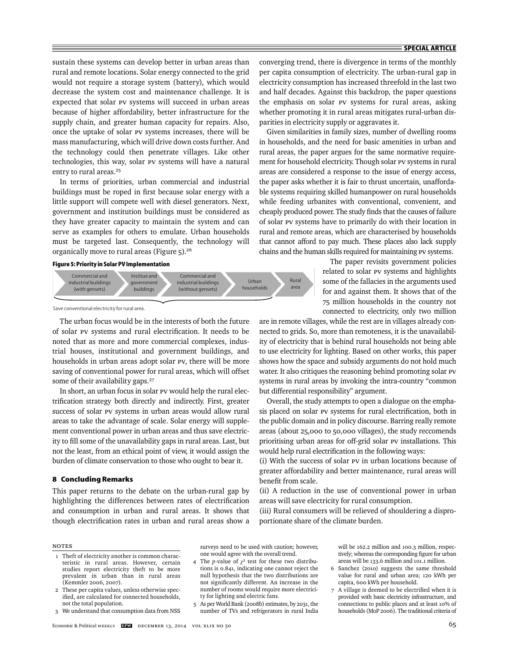sustain these systems can develop better in urban areas than rural and remote locations. Solar energy connected to the grid would not require a storage system (battery), which would decrease the system cost and maintenance challenge. It is expected that solar PV systems will succeed in urban areas because of higher affordability, better infrastructure for the supply chain, and greater human capacity for repairs. Also, once the uptake of solar PV systems increases, there will be mass manufacturing, which will drive down costs further. And the technology could then penetrate villages. Like other technologies, this way, solar PV systems will have a natural entry to rural areas.<sup>25</sup>

In terms of priorities, urban commercial and industrial buildings must be roped in first because solar energy with a little support will compete well with diesel generators. Next, government and institution buildings must be considered as they have greater capacity to maintain the system and can serve as examples for others to emulate. Urban households must be targeted last. Consequently, the technology will organically move to rural areas (Figure 5).26

#### **Figure 5: Priority in Solar PV Implementation**



Save conventional electricity for rural area.

The urban focus would be in the interests of both the future of solar PV systems and rural electrification. It needs to be noted that as more and more commercial complexes, industrial houses, institutional and government buildings, and households in urban areas adopt solar PV, there will be more saving of conventional power for rural areas, which will offset some of their availability gaps.<sup>27</sup>

In short, an urban focus in solar PV would help the rural electrification strategy both directly and indirectly. First, greater success of solar PV systems in urban areas would allow rural areas to take the advantage of scale. Solar energy will supplement conventional power in urban areas and thus save electricity to fill some of the unavailability gaps in rural areas. Last, but not the least, from an ethical point of view, it would assign the burden of climate conservation to those who ought to bear it.

#### **8 Concluding Remarks**

This paper returns to the debate on the urban-rural gap by highlighting the differences between rates of electrification and consumption in urban and rural areas. It shows that though electrification rates in urban and rural areas show a converging trend, there is divergence in terms of the monthly per capita consumption of electricity. The urban-rural gap in electricity consumption has increased threefold in the last two and half decades. Against this backdrop, the paper questions the emphasis on solar PV systems for rural areas, asking whether promoting it in rural areas mitigates rural-urban disparities in electricity supply or aggravates it.

Given similarities in family sizes, number of dwelling rooms in households, and the need for basic amenities in urban and rural areas, the paper argues for the same normative requirement for household electricity. Though solar PV systems in rural areas are considered a response to the issue of energy access, the paper asks whether it is fair to thrust uncertain, unaffordable systems requiring skilled humanpower on rural households while feeding urbanites with conventional, convenient, and cheaply produced power. The study finds that the causes of failure of solar PV systems have to primarily do with their location in rural and remote areas, which are characterised by households that cannot afford to pay much. These places also lack supply chains and the human skills required for maintaining PV systems.

> The paper revisits government policies related to solar PV systems and highlights some of the fallacies in the arguments used for and against them. It shows that of the 75 million households in the country not connected to electricity, only two million

are in remote villages, while the rest are in villages already connected to grids. So, more than remoteness, it is the unavailability of electricity that is behind rural households not being able to use electricity for lighting. Based on other works, this paper shows how the space and subsidy arguments do not hold much water. It also critiques the reasoning behind promoting solar PV systems in rural areas by invoking the intra-country "common but differential responsibility" argument.

Overall, the study attempts to open a dialogue on the emphasis placed on solar PV systems for rural electrification, both in the public domain and in policy discourse. Barring really remote areas (about 25,000 to 50,000 villages), the study reccomends prioritising urban areas for off-grid solar PV installations. This would help rural electrification in the following ways:

(i) With the success of solar PV in urban locations because of greater affordability and better maintenance, rural areas will benefit from scale.

(ii) A reduction in the use of conventional power in urban areas will save electricity for rural consumption.

(iii) Rural consumers will be relieved of shouldering a disproportionate share of the climate burden.

## Notes

- 1 Theft of electricity another is common characteristic in rural areas. However, certain studies report electricity theft to be more prevalent in urban than in rural areas (Kemmler 2006, 2007).
- 2 These per capita values, unless otherwise specified, are calculated for connected households, not the total population.
- 3 We understand that consumption data from NSS

surveys need to be used with caution; however, one would agree with the overall trend.

- 4 The *p*-value of  $\chi^2$  test for these two distributions is 0.841, indicating one cannot reject the null hypothesis that the two distributions are not significantly different. An increase in the number of rooms would require more electricity for lighting and electric fans.
- 5 As per World Bank (2008b) estimates, by 2031, the number of TVs and refrigerators in rural India

will be 162.2 million and 100.3 million, respectively; whereas the corresponding figure for urban areas will be 133.6 million and 101.1 million.

- 6 Sanchez (2010) suggests the same threshold value for rural and urban area; 120 kWh per capita, 600 kWh per household.
- 7 A village is deemed to be electrified when it is provided with basic electricity infrastructure, and connections to public places and at least 10% of households (MoP 2006). The traditional criteria of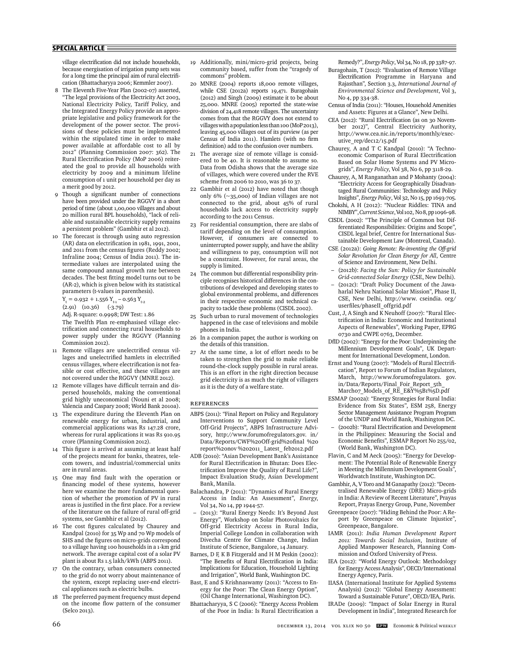#### **SPECIAL ARTICLE**

village electrification did not include households because energisation of irrigation pump sets was for a long time the principal aim of rural electrification (Bhattacharyya 2006; Kemmler 2007).

- 8 The Eleventh Five-Year Plan (2002-07) asserted, "The legal provisions of the Electricity Act 2003, National Electricity Policy, Tariff Policy, and the Integrated Energy Policy provide an appropriate legislative and policy framework for the development of the power sector. The provisions of these policies must be implemented within the stipulated time in order to make power available at affordable cost to all by 2012" (Planning Commission 2007: 362). The Rural Electrification Policy (MoP 2006) reiterated the goal to provide all households with electricity by 2009 and a minimum lifeline consumption of 1 unit per household per day as a merit good by 2012.
- 9 Though a significant number of connections have been provided under the RGGVY in a short period of time (about 1,00,000 villages and about 20 million rural BPL households), "lack of reliable and sustainable electricity supply remains a persistent problem" (Gambhir et al 2012).
- 10 The forecast is through using auto regression (AR) data on electrification in 1981, 1991, 2001, and 2011 from the census figures (Reddy 2002; Infraline 2004; Census of India 2011). The intermediate values are interpolated using the same compound annual growth rate between decades. The best fitting model turns out to be (AR-2), which is given below with its statistical parameters (t-values in parenthesis).  $Y_t = 0.932 + 1.556 Y_{t-1} - 0.563 Y_{t-2}$

(2.91) (10.36) (-3.79)

Adj. R-square: 0.9998; DW Test: 1.86

 The Twelfth Plan re-emphasised village electrification and connecting rural households to power supply under the RGGVY (Planning Commission 2012).

- 11 Remote villages are unelectrified census villages and unelectrified hamlets in electrified census villages, where electrification is not feasible or cost effective, and these villages are not covered under the RGGVY (MNRE 2012).
- 12 Remote villages have difficult terrain and dispersed households, making the conventional grid highly uneconomical (Nouni et al 2008; Valencia and Caspary 2008; World Bank 2010a).
- 13 The expenditure during the Eleventh Plan on renewable energy for urban, industrial, and commercial applications was Rs 147.28 crore, whereas for rural applications it was Rs 910.95 crore (Planning Commission 2012).
- 14 This figure is arrived at assuming at least half of the projects meant for banks, theatres, telecom towers, and industrial/commercial units are in rural areas.
- 15 One may find fault with the operation or financing model of these systems, however here we examine the more fundamental question of whether the promotion of PV in rural areas is justified in the first place. For a review of the literature on the failure of rural off-grid systems, see Gambhir et al (2012).
- 16 The cost figures calculated by Chaurey and Kandpal (2010) for 35 Wp and 70 Wp models of SHS and the figures on micro-grids correspond to a village having 100 households in a 1-km grid network. The average capital cost of a solar PV plant is about Rs 1.5 lakh/kWh (ABPS 2011).
- 17 On the contrary, urban consumers connected to the grid do not worry about maintenance of the system, except replacing user-end electrical appliances such as electric bulbs.
- 18 The preferred payment frequency must depend on the income flow pattern of the consumer (Selco 2013).
- 19 Additionally, mini/micro-grid projects, being community based, suffer from the "tragedy of commons" problem.
- 20 MNRE (2004) reports 18,000 remote villages, while CSE (2012a) reports 19,471. Buragohain (2012) and Singh (2009) estimate it to be about 25,000. MNRE (2005) reported the state-wise division of 24,418 remote villages. The uncertainty comes from that the RGGVY does not extend to villages with a population less than 100 (MoP 2013), leaving 45,000 villages out of its purview (as per Census of India 2011). Hamlets (with no firm definition) add to the confusion over numbers.
- 21 The average size of remote village is considered to be 40. It is reasonable to assume so. Data from Odisha shows that the average size of villages, which were covered under the RVE scheme from 2006 to 2010, was 36 to 37.
- 22 Gambhir et al (2012) have noted that though only 6% (~35,000) of Indian villages are not connected to the grid, about 45% of rural households lack access to electricity supply according to the 2011 Census.
- 23 For residential consumption, there are slabs of tariff depending on the level of consumption. However, if consumers are connected to uninterrupted power supply, and have the ability and willingness to pay, consumption will not be a constraint. However, for rural areas, the supply is limited.
- 24 The common but differential responsibility principle recognises historical differences in the contributions of developed and developing states to global environmental problems, and differences in their respective economic and technical capacity to tackle these problems (CISDL 2002).
- 25 Such urban to rural movement of technologies happened in the case of televisions and mobile phones in India.
- In a companion paper, the author is working on the details of this transition.
- 27 At the same time, a lot of effort needs to be taken to strengthen the grid to make reliable round-the-clock supply possible in rural areas. This is an effort in the right direction because grid electricity is as much the right of villagers as it is the duty of a welfare state.

#### **REFERENCES**

- ABPS (2011): "Final Report on Policy and Regulatory Interventions to Support Community Level Off-Grid Projects", ABPS Infrastructure Advisory, http://www.forumofregulators.gov. in/ Data/Reports/CWF%20Off-grid%20final %20 report%20nov %202011\_ Latest\_ feb2012.pdf
- ADB (2010): "Asian Development Bank's Assistance for Rural Electrification in Bhutan: Does Electrification Improve the Quality of Rural Life?". Impact Evaluation Study, Asian Development Bank, Manila.
- Balachandra, P (2011): "Dynamics of Rural Energy Access in India: An Assessment", *Energy*, Vol 34, No 14, pp 1944-57.
- (2013): "Rural Energy Needs: It's Beyond Just Energy", Workshop on Solar Photovoltaics for Off-grid Electricity Access in Rural India, Imperial College London in collaboration with Divecha Centre for Climate Change, Indian Institute of Science, Bangalore, 14 January.
- Barnes, D F, K B Fitzgerald and H M Peskin (2002): "The Benefits of Rural Electrification in India: Implications for Education, Household Lighting and Irrigation", World Bank, Washington DC.
- Bast, E and S Krishnaswamy (2011): "Access to Energy for the Poor: The Clean Energy Option", (Oil Change International, Washington DC).
- Bhattacharyya, S C (2006): "Energy Access Problem of the Poor in India: Is Rural Electrification a

Remedy?", *Energy Policy*, Vol 34, No 18, pp 3387-97.

- Buragohain, T (2012): "Evaluation of Remote Village Electrification Programme in Haryana and Rajasthan", Section 3.3, *International Journal of Environmental Science and Development*, Vol 3, No 4, pp 334-38.
- Census of India (2011): "Houses, Household Amenities and Assets: Figures at a Glance", New Delhi.
- CEA (2012): "Rural Electrification (as on 30 November 2012)", Central Electricity Authority, http://www.cea.nic.in/reports/monthly/executive\_rep/dec12/15.pdf
- Chaurey, A and T C Kandpal (2010): "A Technoeconomic Comparison of Rural Electrification Based on Solar Home Systems and PV Microgrids", *Energy Policy*, Vol 38, No 6, pp 3118-29.
- Chaurey, A, M Ranganathan and P Mohanty (2004): "Electricity Access for Geographically Disadvantaged Rural Communities: Technology and Policy Insights", *Energy Policy*, Vol 32, No 15, pp 1693-705.
- Chokshi, A H (2012): "Nuclear Riddles: TINA and NIMBY", *Current Science*, Vol 102, No 8, pp 1096-98.
- CISDL (2002): "The Principle of Common but Differentiated Responsibilities: Origins and Scope", CISDL legal brief, Centre for International Sustainable Development Law (Montreal, Canada).
- CSE (2012a): *Going Remote: Re-inventing the Off-grid Solar Revolution for Clean Energy for All*, Centre of Science and Environment, New Delhi.
- (2012b): *Facing the Sun: Policy for Sustainable Grid-connected Solar Energy* (CSE, New Delhi).
- (2012c): "Draft Policy Document of the Jawaharlal Nehru National Solar Mission", Phase II, CSE, New Delhi, http://www. cseindia. org/ userfiles/phaseII\_offgrid.pdf
- Cust, J, A Singh and K Neuhoff (2007): "Rural Electrification in India: Economic and Institutional Aspects of Renewables", Working Paper, EPRG 0730 and CWPE 0763, December.
- DfID (2002): "Energy for the Poor: Underpinning the Millennium Development Goals", UK Department for International Development, London.
- Ernst and Young (2007): "Models of Rural Electrifi cation", Report to Forum of Indian Regulators, March, http://www.forumofregulators. gov. in/Data/Reports/Final\_Foir\_Report\_5th\_ March07\_Models\_of\_RE\_E&Y%5B1%5D.pdf
- ESMAP (2002a): "Energy Strategies for Rural India: Evidence from Six States", ESM 258, Energy Sector Management Assistance Program Program of the UNDP and World Bank, Washington DC.
- (2002b): "Rural Electrification and Development in the Philippines: Measuring the Social and Economic Benefits", ESMAP Report No 255/02, (World Bank, Washington DC).
- Flavin, C and M Aeck (2005): "Energy for Development: The Potential Role of Renewable Energy in Meeting the Millennium Development Goals", Worldwatch Institute, Washington DC.
- Gambhir, A, V Toro and M Ganapathy (2012): "Decentralised Renewable Energy (DRE) Micro-grids in India: A Review of Recent Literature", Prayas Report, Prayas Energy Group, Pune, November
- Greenpeace (2007): "Hiding Behind the Poor: A Report by Greenpeace on Climate Injustice", Greenpeace, Bangalore.
- IAMR (2011): *India Human Development Report 2011: Towards Social Inclusion*, Institute of Applied Manpower Research, Planning Commission and Oxford University of Press.
- IEA (2012): "World Energy Outlook: Methodology for Energy Access Analysis", OECD/International Energy Agency, Paris.
- IIASA (International Institute for Applied Systems Analysis) (2012): "Global Energy Assessment: Toward a Sustainable Future", OECD/IEA, Paris.
- IRADe (2009): "Impact of Solar Energy in Rural Development in India", Integrated Research for